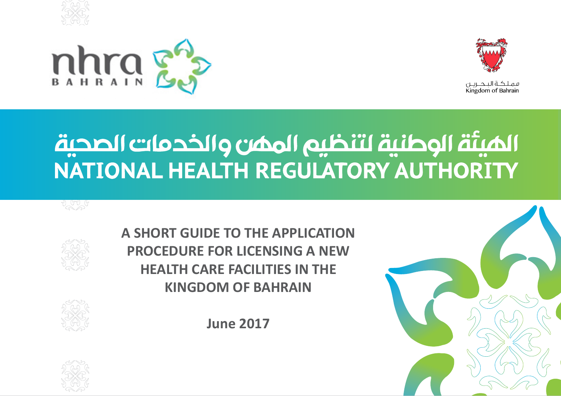





فملكية التحبرين Kingdom of Bahrain

# الميئة الوطنية لتنظيم الممن والخدمات الصحية NATIONAL HEALTH REGULATORY AUTHORITY



**A SHORT GUIDE TO THE APPLICATION PROCEDURE FOR LICENSING A NEW HEALTH CARE FACILITIES IN THE KINGDOM OF BAHRAIN**

**June 2017**





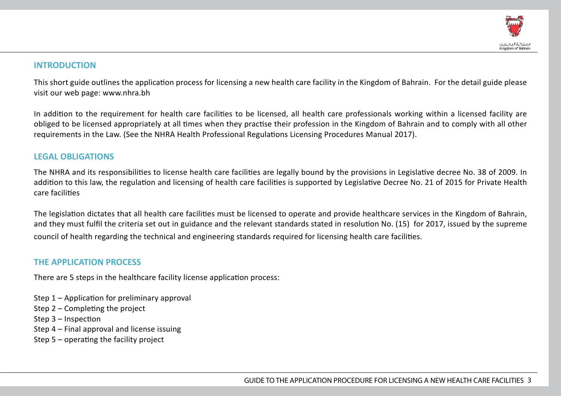

#### **INTRODUCTION**

This short guide outlines the application process for licensing a new health care facility in the Kingdom of Bahrain. For the detail guide please visit our web page: www.nhra.bh

In addition to the requirement for health care facilities to be licensed, all health care professionals working within a licensed facility are obliged to be licensed appropriately at all times when they practise their profession in the Kingdom of Bahrain and to comply with all other requirements in the Law. (See the NHRA Health Professional Regulations Licensing Procedures Manual 2017).

#### **LEGAL OBLIGATIONS**

The NHRA and its responsibilities to license health care facilities are legally bound by the provisions in Legislative decree No. 38 of 2009. In addition to this law, the regulation and licensing of health care facilities is supported by Legislative Decree No. 21 of 2015 for Private Health care facilities

The legislation dictates that all health care facilities must be licensed to operate and provide healthcare services in the Kingdom of Bahrain, and they must fulfil the criteria set out in guidance and the relevant standards stated in resolution No. (15) for 2017, issued by the supreme council of health regarding the technical and engineering standards required for licensing health care facilities.

#### **THE APPLICATION PROCESS**

There are 5 steps in the healthcare facility license application process:

- Step 1 Application for preliminary approval
- Step 2 Completing the project
- Step 3 Inspection
- Step 4 Final approval and license issuing
- Step 5 operating the facility project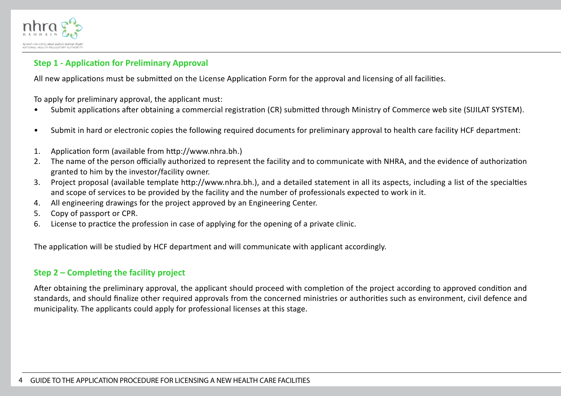

#### **Step 1 - Application for Preliminary Approval**

All new applications must be submitted on the License Application Form for the approval and licensing of all facilities.

To apply for preliminary approval, the applicant must:

- Submit applications after obtaining a commercial registration (CR) submitted through Ministry of Commerce web site (SIJILAT SYSTEM).
- Submit in hard or electronic copies the following required documents for preliminary approval to health care facility HCF department:
- 1. Application form (available from http://www.nhra.bh.)
- 2. The name of the person officially authorized to represent the facility and to communicate with NHRA, and the evidence of authorization granted to him by the investor/facility owner.
- 3. Project proposal (available template http://www.nhra.bh.), and a detailed statement in all its aspects, including a list of the specialties and scope of services to be provided by the facility and the number of professionals expected to work in it.
- 4. All engineering drawings for the project approved by an Engineering Center.
- 5. Copy of passport or CPR.
- 6. License to practice the profession in case of applying for the opening of a private clinic.

The application will be studied by HCF department and will communicate with applicant accordingly.

#### **Step 2 – Completing the facility project**

After obtaining the preliminary approval, the applicant should proceed with completion of the project according to approved condition and standards, and should finalize other required approvals from the concerned ministries or authorities such as environment, civil defence and municipality. The applicants could apply for professional licenses at this stage.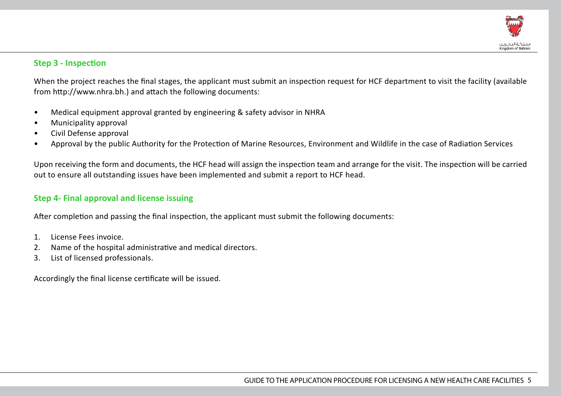

#### **Step 3 - Inspection**

When the project reaches the final stages, the applicant must submit an inspection request for HCF department to visit the facility (available from http://www.nhra.bh.) and attach the following documents:

- Medical equipment approval granted by engineering & safety advisor in NHRA
- Municipality approval
- Civil Defense approval
- Approval by the public Authority for the Protection of Marine Resources, Environment and Wildlife in the case of Radiation Services

Upon receiving the form and documents, the HCF head will assign the inspection team and arrange for the visit. The inspection will be carried out to ensure all outstanding issues have been implemented and submit a report to HCF head.

## **Step 4- Final approval and license issuing**

After completion and passing the final inspection, the applicant must submit the following documents:

- 1. License Fees invoice.
- 2. Name of the hospital administrative and medical directors.
- 3. List of licensed professionals.

Accordingly the final license certificate will be issued.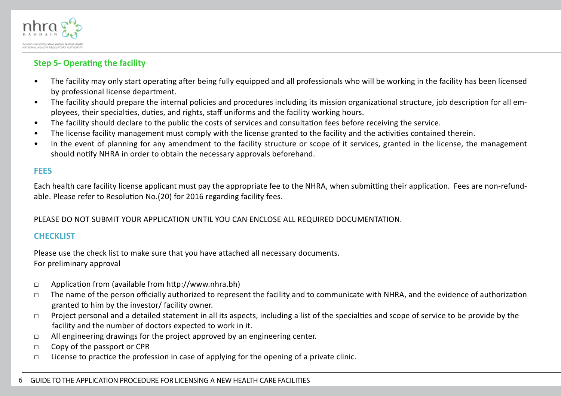

#### **Step 5- Operating the facility**

- The facility may only start operating after being fully equipped and all professionals who will be working in the facility has been licensed by professional license department.
- The facility should prepare the internal policies and procedures including its mission organizational structure, job description for all employees, their specialties, duties, and rights, staff uniforms and the facility working hours.
- The facility should declare to the public the costs of services and consultation fees before receiving the service.
- The license facility management must comply with the license granted to the facility and the activities contained therein.
- In the event of planning for any amendment to the facility structure or scope of it services, granted in the license, the management should notify NHRA in order to obtain the necessary approvals beforehand.

#### **FEES**

Each health care facility license applicant must pay the appropriate fee to the NHRA, when submitting their application. Fees are non-refundable. Please refer to Resolution No.(20) for 2016 regarding facility fees.

PLEASE DO NOT SUBMIT YOUR APPLICATION UNTIL YOU CAN ENCLOSE ALL REQUIRED DOCUMENTATION.

#### **CHECKLIST**

Please use the check list to make sure that you have attached all necessary documents. For preliminary approval

- □ Application from (available from http://www.nhra.bh)
- □ The name of the person officially authorized to represent the facility and to communicate with NHRA, and the evidence of authorization granted to him by the investor/ facility owner.
- □ Project personal and a detailed statement in all its aspects, including a list of the specialties and scope of service to be provide by the facility and the number of doctors expected to work in it.
- □ All engineering drawings for the project approved by an engineering center.
- □ Copy of the passport or CPR
- □ License to practice the profession in case of applying for the opening of a private clinic.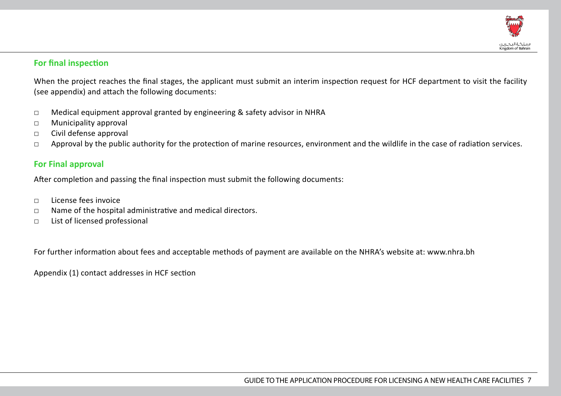

#### **For final inspection**

When the project reaches the final stages, the applicant must submit an interim inspection request for HCF department to visit the facility (see appendix) and attach the following documents:

- $\Box$  Medical equipment approval granted by engineering & safety advisor in NHRA
- □ Municipality approval
- □ Civil defense approval
- □ Approval by the public authority for the protection of marine resources, environment and the wildlife in the case of radiation services.

#### **For Final approval**

After completion and passing the final inspection must submit the following documents:

- □ License fees invoice
- □ Name of the hospital administrative and medical directors.
- □ List of licensed professional

For further information about fees and acceptable methods of payment are available on the NHRA's website at: www.nhra.bh

Appendix (1) contact addresses in HCF section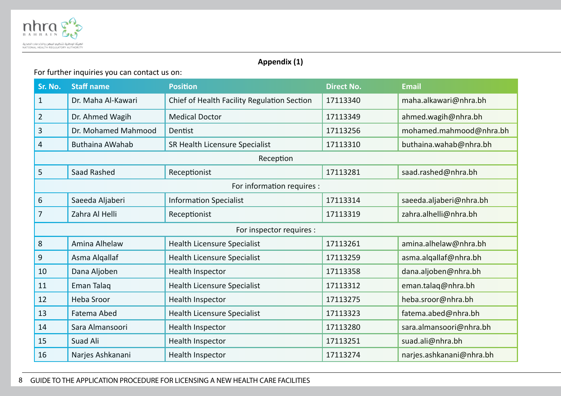

## **Appendix (1)**

## For further inquiries you can contact us on:

| Sr. No.                    | <b>Staff name</b>      | <b>Position</b>                             | <b>Direct No.</b> | <b>Email</b>             |  |  |  |
|----------------------------|------------------------|---------------------------------------------|-------------------|--------------------------|--|--|--|
| $\mathbf{1}$               | Dr. Maha Al-Kawari     | Chief of Health Facility Regulation Section | 17113340          | maha.alkawari@nhra.bh    |  |  |  |
| $\overline{2}$             | Dr. Ahmed Wagih        | <b>Medical Doctor</b>                       | 17113349          | ahmed.wagih@nhra.bh      |  |  |  |
| 3                          | Dr. Mohamed Mahmood    | Dentist                                     | 17113256          | mohamed.mahmood@nhra.bh  |  |  |  |
| 4                          | <b>Buthaina AWahab</b> | SR Health Licensure Specialist              | 17113310          | buthaina.wahab@nhra.bh   |  |  |  |
| Reception                  |                        |                                             |                   |                          |  |  |  |
| 5                          | Saad Rashed            | Receptionist                                | 17113281          | saad.rashed@nhra.bh      |  |  |  |
| For information requires : |                        |                                             |                   |                          |  |  |  |
| 6                          | Saeeda Aljaberi        | <b>Information Specialist</b>               | 17113314          | saeeda.aljaberi@nhra.bh  |  |  |  |
| 7                          | Zahra Al Helli         | Receptionist                                | 17113319          | zahra.alhelli@nhra.bh    |  |  |  |
| For inspector requires :   |                        |                                             |                   |                          |  |  |  |
| 8                          | Amina Alhelaw          | <b>Health Licensure Specialist</b>          | 17113261          | amina.alhelaw@nhra.bh    |  |  |  |
| 9                          | Asma Algallaf          | <b>Health Licensure Specialist</b>          | 17113259          | asma.algallaf@nhra.bh    |  |  |  |
| 10                         | Dana Aljoben           | Health Inspector                            | 17113358          | dana.aljoben@nhra.bh     |  |  |  |
| 11                         | Eman Talag             | Health Licensure Specialist                 | 17113312          | eman.talaq@nhra.bh       |  |  |  |
| 12                         | <b>Heba Sroor</b>      | Health Inspector                            | 17113275          | heba.sroor@nhra.bh       |  |  |  |
| 13                         | Fatema Abed            | <b>Health Licensure Specialist</b>          | 17113323          | fatema.abed@nhra.bh      |  |  |  |
| 14                         | Sara Almansoori        | Health Inspector                            | 17113280          | sara.almansoori@nhra.bh  |  |  |  |
| 15                         | Suad Ali               | Health Inspector                            | 17113251          | suad.ali@nhra.bh         |  |  |  |
| 16                         | Narjes Ashkanani       | Health Inspector                            | 17113274          | narjes.ashkanani@nhra.bh |  |  |  |

#### GUIDE TO THE APPLICATION PROCEDURE FOR LICENSING A NEW HEALTH CARE FACILITIES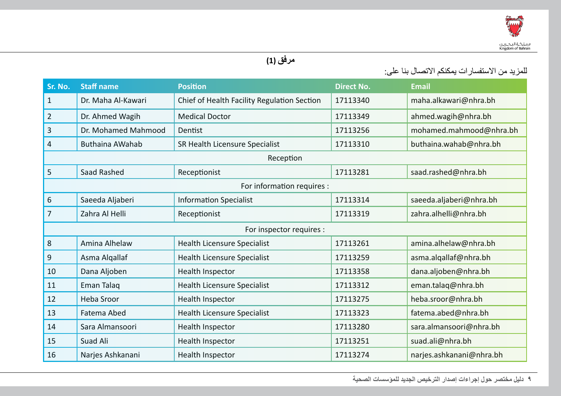

# **مرفق (1)**

للمزيد من االستفسارات يمكنكم االتصال بنا على:

| Sr. No.                    | <b>Staff name</b>      | <b>Position</b>                             | <b>Direct No.</b> | <b>Email</b>             |  |  |
|----------------------------|------------------------|---------------------------------------------|-------------------|--------------------------|--|--|
| $\mathbf{1}$               | Dr. Maha Al-Kawari     | Chief of Health Facility Regulation Section | 17113340          | maha.alkawari@nhra.bh    |  |  |
| $\sqrt{2}$                 | Dr. Ahmed Wagih        | <b>Medical Doctor</b>                       | 17113349          | ahmed.wagih@nhra.bh      |  |  |
| 3                          | Dr. Mohamed Mahmood    | Dentist                                     | 17113256          | mohamed.mahmood@nhra.bh  |  |  |
| 4                          | <b>Buthaina AWahab</b> | SR Health Licensure Specialist              | 17113310          | buthaina.wahab@nhra.bh   |  |  |
| Reception                  |                        |                                             |                   |                          |  |  |
| 5                          | Saad Rashed            | Receptionist                                | 17113281          | saad.rashed@nhra.bh      |  |  |
| For information requires : |                        |                                             |                   |                          |  |  |
| 6                          | Saeeda Aljaberi        | <b>Information Specialist</b>               | 17113314          | saeeda.aljaberi@nhra.bh  |  |  |
| 7                          | Zahra Al Helli         | Receptionist                                | 17113319          | zahra.alhelli@nhra.bh    |  |  |
| For inspector requires :   |                        |                                             |                   |                          |  |  |
| 8                          | Amina Alhelaw          | Health Licensure Specialist                 | 17113261          | amina.alhelaw@nhra.bh    |  |  |
| 9                          | Asma Alqallaf          | Health Licensure Specialist                 | 17113259          | asma.algallaf@nhra.bh    |  |  |
| 10                         | Dana Aljoben           | Health Inspector                            | 17113358          | dana.aljoben@nhra.bh     |  |  |
| 11                         | Eman Talag             | Health Licensure Specialist                 | 17113312          | eman.talaq@nhra.bh       |  |  |
| 12                         | Heba Sroor             | Health Inspector                            | 17113275          | heba.sroor@nhra.bh       |  |  |
| 13                         | Fatema Abed            | <b>Health Licensure Specialist</b>          | 17113323          | fatema.abed@nhra.bh      |  |  |
| 14                         | Sara Almansoori        | Health Inspector                            | 17113280          | sara.almansoori@nhra.bh  |  |  |
| 15                         | Suad Ali               | Health Inspector                            | 17113251          | suad.ali@nhra.bh         |  |  |
| 16                         | Narjes Ashkanani       | Health Inspector                            | 17113274          | narjes.ashkanani@nhra.bh |  |  |

9 **دليل مختصر حول إجراءات إصدار الترخيص الجديد للمؤسسات الصحية**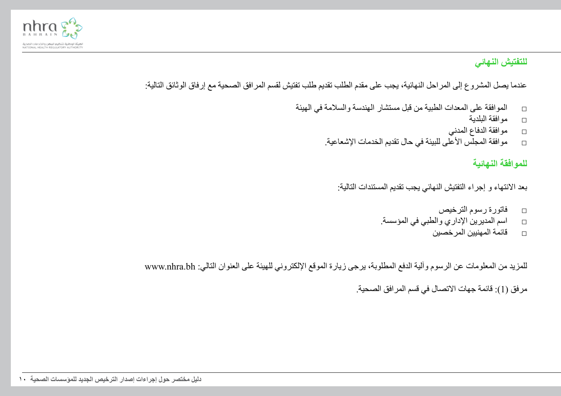

# **للتفتيش النهائي**

عندما يصل المشروع إلى المراحل النهائية، يجب على مقدم الطلب تقديم طلب تفتيش لقسم المرافق الصحية مع إرفاق الوثائق التالية:

- □ الموافقة على المعدات الطبية من قبل مستشار الهندسة والسالمة في الهيئة
	- □ موافقة البلدية
	- □ موافقة الدفاع المدني
	- □ موافقة المجلس األعلى للبيئة في حال تقديم الخدمات اإلشعاعية.

# **للموافقة النهائية**

بعد الانتهاء و إجراء التفتيش النهائي يجب تقديم المستندات التالية:

- □ فاتورة رسوم الترخيص
- □ اسم المديرين اإلداري والطبي في المؤسسة.
	- □ قائمة المهنيين المرخصين

للمزيد من المعلومات عن الرسوم وآلية الدفع المطلوبة، يرجى زيارة الموقع اإللكتروني للهيئة على العنوان التالي: bh.nhra.www

مر فق (1): قائمة جهات الاتصال في قسم المر افق الصحية.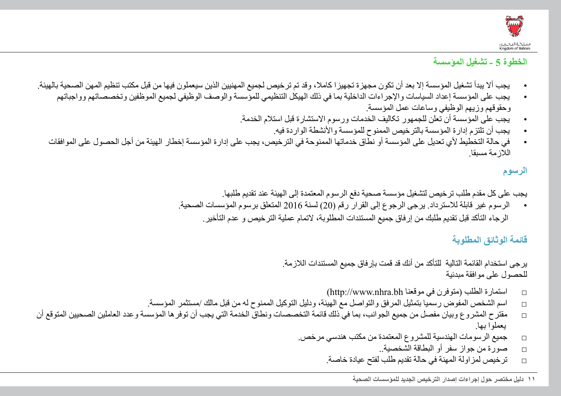

## **الخطوة 5 - تشغيل المؤسسة**

- يجب ألا يبدأ تشغيل المؤسسة إلا بعد أن تكون مجهزة تجهيزا كاملا، وقد تم ترخيص لجميع المهنيين الذين سيعملون فيها من قبل مكتب تنظيم المهن الصحية بالهيئة.
	- يجب على المؤسسة إعداد السياسات واإلجراءات الداخلية بما في ذلك الهيكل التنظيمي للمؤسسة والوصف الوظيفي لجميع الموظفين وتخصصاتهم وواجباتهم وحقوقهم وزيهم الوظيفي وساعات عمل المؤسسة.
		- یجب علی المؤسسة أن تعلن للجمھور تکالیف الخدمات ورسوم االستشارة قبل استالم الخدمة.
			- يجب أن تلتزم إدارة المؤسسة بالترخيص الممنوح للمؤسسة والأنشطة الواردة فيه.
	- في حالة التخطيط ألي تعديل على المؤسسة أو نطاق خدماتها الممنوحة في الترخيص، يجب على إدارة المؤسسة إخطار الهيئة من أجل الحصول على الموافقات الالزمة مسبقا.

# **الرسوم**

يجب على كل مقدم طلب ترخيص لتشغيل مؤسسة صحية دفع الرسوم المعتمدة إلى الهيئة عند تقديم طلبها. • الرسوم غير قابلة لالسترداد. يرجى الرجوع إلى القرار رقم )20( لسنة 2016 المتعلق برسوم المؤسسات الصحية. الرجاء التأكد قبل تقديم طلبك من إرفاق جميع المستندات المطلوبة، التمام عملية الترخيص و عدم التأخير.

#### **قائمة الوثائق المطلوبة**

يرجى استخدام القائمة التالية للتأكد من أنك قد قمت بإرفاق جميع المستندات الالزمة. للحصول على موافقة مبدئية

- □ استمارة الطلب )متوفرن في موقعنا bh.nhra.www://http)
- □ اسم الشخص المفوض رسميا بتمثيل المرفق والتواصل مع الهيئة، ودليل التوكيل الممنوح له من قبل مالك /مستثمر المؤسسة.
- □ مقترح المشروع وبيان مفصل من جميع الجوانب، بما في ذلك قائمة التخصصات ونطاق الخدمة التي يجب أن توفرها المؤسسة وعدد العاملين الصحيين المتوقع أن يعملوا بها.
	- □ جميع الرسومات الهندسية للمشروع المعتمدة من مكتب هندسي مرخص.
		- □ صورة من جواز سفر أو البطاقة الشخصية..
		- □ ترخيص لمزاولة المهنة في حالة تقديم طلب لفتح عيادة خاصة.

11 **دليل مختصر حول إجراءات إصدار الترخيص الجديد للمؤسسات الصحية**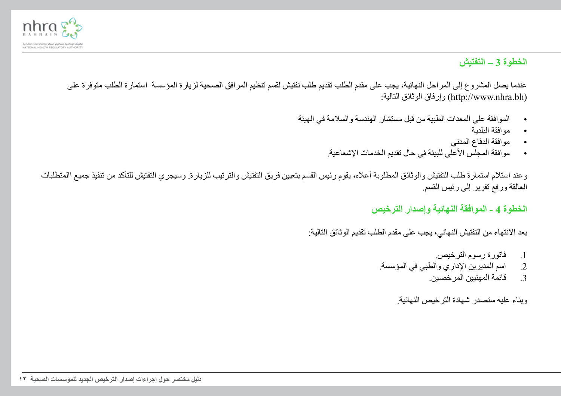

# **الخطوة 3 – التفتيش**

عندما يصل المشروع إلى المراحل النهائية، يجب على مقدم الطلب تقديم طلب تفتيش لقسم تنظيم المرافق الصحية لزيارة المؤسسة استمارة الطلب متوفرة على :التالية الوثائق وإرفاق( http://www.nhra.bh(

- الموافقة على المعدات الطبية من قبل مستشار الهندسة والسالمة في الهيئة
	- موافقة البلدية
	- موافقة الدفاع المدني
	- مو افقة المجلّس الأعلى للبيئة في حال تقديم الخدمات الإشعاعية.

وعند استلام استمارة طلب التفتيش والوثائق المطلوبة أعلاه، يقوم رئيس القسم بتعيين فريق التفتيش والترتيب للزيارة. وسيجري التفتيش للتأكد من تنفيذ جميع االمتطلبات العالقة ورفع تقرير إلى رئيس القسم.

**الخطوة 4 - الموافقة النهائية وإصدار الترخيص**

بعد الانتهاء من التفتيش النهائي، يجب على مقدم الطلب تقديم الوثائق التالية:

- .1 فاتورة رسوم الترخيص.
- 2. اسم المديرين الإداري والطبي في المؤسسة.<br>3. قائمة المهنبين المر خصبن.
	- .3 قائمة المهنيين المرخصين.

وبناء عليه ستصدر شهادة الترخيص النهائية.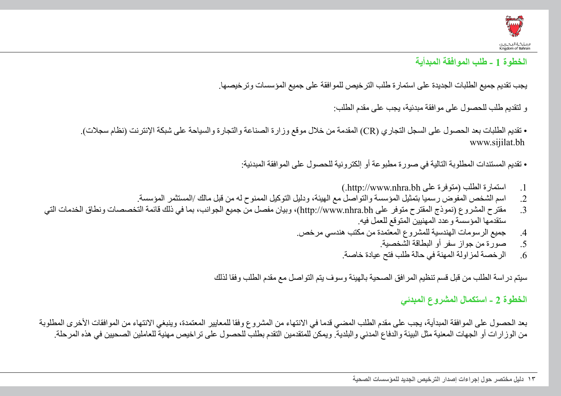

# **الخطوة 1 - طلب الموافقة المبدأية**

يجب تقديم جميع الطلبات الجديدة على استمارة طلب الترخيص للموافقة على جميع المؤسسات وترخيصها.

و لتقديم طلب للحصول على موافقة مبدئية، يجب على مقدم الطلب:

• تقديم الطلبات بعد الحصول على السجل التجاري )CR )المقدمة من خالل موقع وزارة الصناعة والتجارة والسياحة على شبكة اإلنترنت )نظام سجالت(. www.sijilat.bh

• تقديم المستندات المطلوبة التالية في صورة مطبوعة أو إلكترونية للحصول على الموافقة المبدئية:

- 1. استمارة الطلب (متوفرة على http://www.nhra.bh.)
- .2 اسم الشخص المفوض رسميا بتمثيل المؤسسة والتواصل مع الهيئة، ودليل التوكيل الممنوح له من قبل مالك /المستثمر المؤسسة.
- 3. مقترح المشروع (نموذج المقترح متوفر على http://www.nhra.bh)، وبيان مفصل من جميع الجوانب، بما في ذلك قائمة التخصصات ونطاق الخدمات التي ستقدمها المؤسسة وعدد المهنيين المتوقع للعمل فيه.
	- .4 جميع الرسومات الهندسية للمشروع المعتمدة من مكتب هندسي مرخص.
		- .5 صورة من جواز سفر أو البطاقة الشخصية.
		- .6 الرخصة لمزاولة المهنة في حالة طلب فتح عيادة خاصة.

سيتم دراسة الطلب من قبل قسم تنظيم المرافق الصحية بالهيئة وسوف يتم التواصل مع مقدم الطلب وفقا لذلك

## **الخطوة 2 - استكمال المشروع المبدئي**

بعد الحصول على الموافقة المبدأية، يجب على مقدم الطلب المضي قدما في الانتهاء من المشروع وفقا للمعايير المعتمدة، وينبغي الانتهاء من الموافقات الأخرى المطلوبة من الوزارات أو الجهات المعنية مثل البيئة والدفاع المدني والبلدية. ويمكن للمتقدمين التقدم بطلب للحصول على تراخيص مهنية للعاملين الصحيين في هذه المرحلة.

<sup>13</sup> **دليل مختصر حول إجراءات إصدار الترخيص الجديد للمؤسسات الصحية**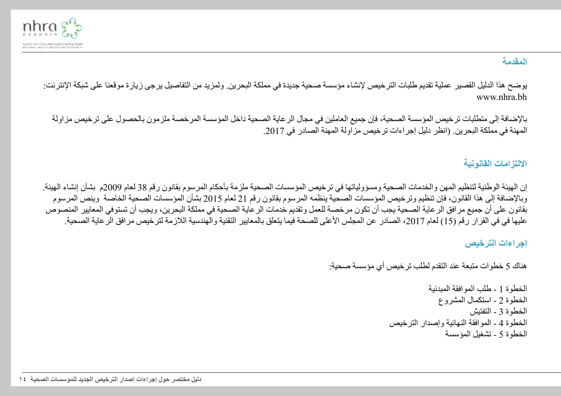

# **المقدمة**

يوضح هذا الدليل القصير عملية تقديم طلبات الترخيص إلنشاء مؤسسة صحية جديدة في مملكة البحرين. ولمزيد من التفاصيل يرجى زيارة موقعنا على شبكة اإلنترنت: www.nhra.bh

باإلضافة إلى متطلبات ترخيص المؤسسة الصحية، فإن جميع العاملين في مجال الرعاية الصحية داخل المؤسسة المرخصة ملزمون بالحصول على ترخيص مزاولة المهنة في مملكة البحرين. (انظر دليل إجر اءات تر خيص مز اولة المهنة الصادر في 2017.

# **االلتزامات القانونية**

إن الهيئة الوطنية لتنظيم المهن والخدمات الصحية ومسؤولياتها في ترخيص المؤسسات الصحية ملزمة بأحكام المرسوم بقانون رقم 38 لعام 2009م بشأن إنشاء الهيئة. وباإلضافة إلى هذا القانون، فإن تنظيم وترخيص المؤسسات الصحية ينظمه المرسوم بقانون رقم 21 لعام 2015 بشأن المؤسسات الصحية الخاصة وينص المرسوم بقانون على أن جميع مرافق الرعاية الصحية يجب أن تكون مرخصة للعمل وتقديم خدمات الرعاية الصحية في مملكة البحرين، ويجب أن تستوفي المعايير المنصوص عليها في في القرار رقم (15) لعام 2017، الصادر عن المجلس الأعلى للصحة فيما يتعلق بالمعايير التقنية والهندسية اللازمة لترخيص مرافق الرعاية الصحية.

#### **إجراءات الترخيص**

هناك 5 خطوات متبعة عند التقدم لطلب ترخيص أي مؤسسة صحية:

الخطوة 1 - طلب الموافقة المبدئية الخطوة 2 - استكمال المشروع الخطوة 3 - التفتيش الخطوة 4 - الموافقة النهائية وإصدار الترخيص الخطوة 5 - تشغيل المؤسسة